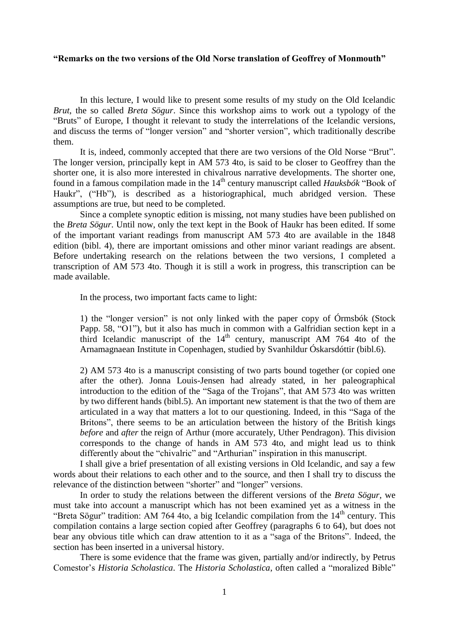#### **"Remarks on the two versions of the Old Norse translation of Geoffrey of Monmouth"**

In this lecture, I would like to present some results of my study on the Old Icelandic *Brut*, the so called *Breta Sögur*. Since this workshop aims to work out a typology of the "Bruts" of Europe, I thought it relevant to study the interrelations of the Icelandic versions, and discuss the terms of "longer version" and "shorter version", which traditionally describe them.

It is, indeed, commonly accepted that there are two versions of the Old Norse "Brut". The longer version, principally kept in AM 573 4to, is said to be closer to Geoffrey than the shorter one, it is also more interested in chivalrous narrative developments. The shorter one, found in a famous compilation made in the 14<sup>th</sup> century manuscript called *Hauksbók* "Book of Haukr", ("Hb"), is described as a historiographical, much abridged version. These assumptions are true, but need to be completed.

Since a complete synoptic edition is missing, not many studies have been published on the *Breta Sögur*. Until now, only the text kept in the Book of Haukr has been edited. If some of the important variant readings from manuscript AM 573 4to are available in the 1848 edition (bibl. 4), there are important omissions and other minor variant readings are absent. Before undertaking research on the relations between the two versions, I completed a transcription of AM 573 4to. Though it is still a work in progress, this transcription can be made available.

In the process, two important facts came to light:

1) the "longer version" is not only linked with the paper copy of Órmsbók (Stock Papp. 58, "O1"), but it also has much in common with a Galfridian section kept in a third Icelandic manuscript of the  $14<sup>th</sup>$  century, manuscript AM 764 4to of the Arnamagnaean Institute in Copenhagen, studied by Svanhildur Óskarsdóttir (bibl.6).

2) AM 573 4to is a manuscript consisting of two parts bound together (or copied one after the other). Jonna Louis-Jensen had already stated, in her paleographical introduction to the edition of the "Saga of the Trojans", that AM 573 4to was written by two different hands (bibl.5). An important new statement is that the two of them are articulated in a way that matters a lot to our questioning. Indeed, in this "Saga of the Britons", there seems to be an articulation between the history of the British kings *before* and *after* the reign of Arthur (more accurately, Uther Pendragon). This division corresponds to the change of hands in AM 573 4to, and might lead us to think differently about the "chivalric" and "Arthurian" inspiration in this manuscript.

I shall give a brief presentation of all existing versions in Old Icelandic, and say a few words about their relations to each other and to the source, and then I shall try to discuss the relevance of the distinction between "shorter" and "longer" versions.

In order to study the relations between the different versions of the *Breta Sögur*, we must take into account a manuscript which has not been examined yet as a witness in the "Breta Sögur" tradition: AM 764 4to, a big Icelandic compilation from the  $14<sup>th</sup>$  century. This compilation contains a large section copied after Geoffrey (paragraphs 6 to 64), but does not bear any obvious title which can draw attention to it as a "saga of the Britons". Indeed, the section has been inserted in a universal history.

There is some evidence that the frame was given, partially and/or indirectly, by Petrus Comestor's *Historia Scholastica*. The *Historia Scholastica*, often called a "moralized Bible"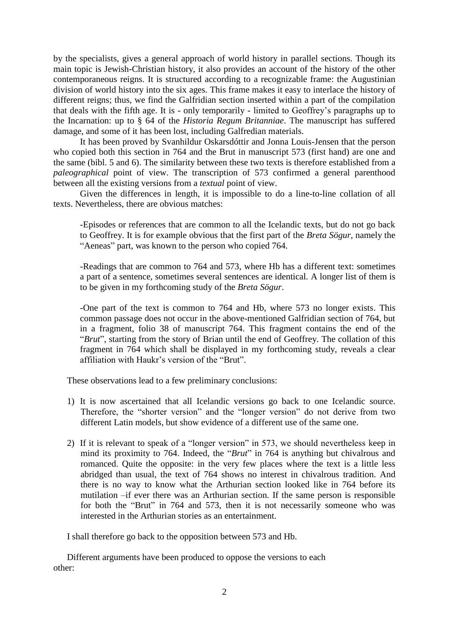by the specialists, gives a general approach of world history in parallel sections. Though its main topic is Jewish-Christian history, it also provides an account of the history of the other contemporaneous reigns. It is structured according to a recognizable frame: the Augustinian division of world history into the six ages. This frame makes it easy to interlace the history of different reigns; thus, we find the Galfridian section inserted within a part of the compilation that deals with the fifth age. It is - only temporarily - limited to Geoffrey's paragraphs up to the Incarnation: up to § 64 of the *Historia Regum Britanniae*. The manuscript has suffered damage, and some of it has been lost, including Galfredian materials.

It has been proved by Svanhildur Oskarsdóttir and Jonna Louis-Jensen that the person who copied both this section in 764 and the Brut in manuscript 573 (first hand) are one and the same (bibl. 5 and 6). The similarity between these two texts is therefore established from a *paleographical* point of view. The transcription of 573 confirmed a general parenthood between all the existing versions from a *textual* point of view.

Given the differences in length, it is impossible to do a line-to-line collation of all texts. Nevertheless, there are obvious matches:

-Episodes or references that are common to all the Icelandic texts, but do not go back to Geoffrey. It is for example obvious that the first part of the *Breta Sögur*, namely the "Aeneas" part, was known to the person who copied 764.

-Readings that are common to 764 and 573, where Hb has a different text: sometimes a part of a sentence, sometimes several sentences are identical. A longer list of them is to be given in my forthcoming study of the *Breta Sögur*.

-One part of the text is common to 764 and Hb, where 573 no longer exists. This common passage does not occur in the above-mentioned Galfridian section of 764, but in a fragment, folio 38 of manuscript 764. This fragment contains the end of the "*Brut*", starting from the story of Brian until the end of Geoffrey. The collation of this fragment in 764 which shall be displayed in my forthcoming study, reveals a clear affiliation with Haukr's version of the "Brut".

These observations lead to a few preliminary conclusions:

- 1) It is now ascertained that all Icelandic versions go back to one Icelandic source. Therefore, the "shorter version" and the "longer version" do not derive from two different Latin models, but show evidence of a different use of the same one.
- 2) If it is relevant to speak of a "longer version" in 573, we should nevertheless keep in mind its proximity to 764. Indeed, the "*Brut*" in 764 is anything but chivalrous and romanced. Quite the opposite: in the very few places where the text is a little less abridged than usual, the text of 764 shows no interest in chivalrous tradition. And there is no way to know what the Arthurian section looked like in 764 before its mutilation –if ever there was an Arthurian section. If the same person is responsible for both the "Brut" in 764 and 573, then it is not necessarily someone who was interested in the Arthurian stories as an entertainment.

I shall therefore go back to the opposition between 573 and Hb.

Different arguments have been produced to oppose the versions to each other: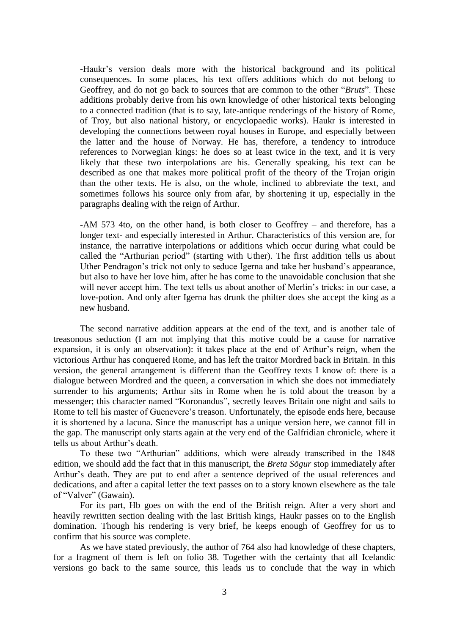-Haukr's version deals more with the historical background and its political consequences. In some places, his text offers additions which do not belong to Geoffrey, and do not go back to sources that are common to the other "*Bruts*". These additions probably derive from his own knowledge of other historical texts belonging to a connected tradition (that is to say, late-antique renderings of the history of Rome, of Troy, but also national history, or encyclopaedic works). Haukr is interested in developing the connections between royal houses in Europe, and especially between the latter and the house of Norway. He has, therefore, a tendency to introduce references to Norwegian kings: he does so at least twice in the text, and it is very likely that these two interpolations are his. Generally speaking, his text can be described as one that makes more political profit of the theory of the Trojan origin than the other texts. He is also, on the whole, inclined to abbreviate the text, and sometimes follows his source only from afar, by shortening it up, especially in the paragraphs dealing with the reign of Arthur.

-AM 573 4to, on the other hand, is both closer to Geoffrey – and therefore, has a longer text- and especially interested in Arthur. Characteristics of this version are, for instance, the narrative interpolations or additions which occur during what could be called the "Arthurian period" (starting with Uther). The first addition tells us about Uther Pendragon's trick not only to seduce Igerna and take her husband's appearance, but also to have her love him, after he has come to the unavoidable conclusion that she will never accept him. The text tells us about another of Merlin's tricks: in our case, a love-potion. And only after Igerna has drunk the philter does she accept the king as a new husband.

The second narrative addition appears at the end of the text, and is another tale of treasonous seduction (I am not implying that this motive could be a cause for narrative expansion, it is only an observation): it takes place at the end of Arthur's reign, when the victorious Arthur has conquered Rome, and has left the traitor Mordred back in Britain. In this version, the general arrangement is different than the Geoffrey texts I know of: there is a dialogue between Mordred and the queen, a conversation in which she does not immediately surrender to his arguments; Arthur sits in Rome when he is told about the treason by a messenger; this character named "Koronandus", secretly leaves Britain one night and sails to Rome to tell his master of Guenevere's treason. Unfortunately, the episode ends here, because it is shortened by a lacuna. Since the manuscript has a unique version here, we cannot fill in the gap. The manuscript only starts again at the very end of the Galfridian chronicle, where it tells us about Arthur's death.

To these two "Arthurian" additions, which were already transcribed in the 1848 edition, we should add the fact that in this manuscript, the *Breta Sögur* stop immediately after Arthur's death. They are put to end after a sentence deprived of the usual references and dedications, and after a capital letter the text passes on to a story known elsewhere as the tale of "Valver" (Gawain).

For its part, Hb goes on with the end of the British reign. After a very short and heavily rewritten section dealing with the last British kings, Haukr passes on to the English domination. Though his rendering is very brief, he keeps enough of Geoffrey for us to confirm that his source was complete.

As we have stated previously, the author of 764 also had knowledge of these chapters, for a fragment of them is left on folio 38. Together with the certainty that all Icelandic versions go back to the same source, this leads us to conclude that the way in which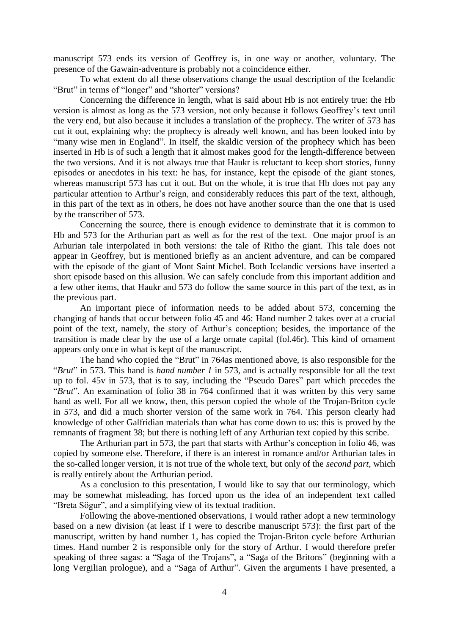manuscript 573 ends its version of Geoffrey is, in one way or another, voluntary. The presence of the Gawain-adventure is probably not a coincidence either.

To what extent do all these observations change the usual description of the Icelandic "Brut" in terms of "longer" and "shorter" versions?

Concerning the difference in length, what is said about Hb is not entirely true: the Hb version is almost as long as the 573 version, not only because it follows Geoffrey's text until the very end, but also because it includes a translation of the prophecy. The writer of 573 has cut it out, explaining why: the prophecy is already well known, and has been looked into by "many wise men in England". In itself, the skaldic version of the prophecy which has been inserted in Hb is of such a length that it almost makes good for the length-difference between the two versions. And it is not always true that Haukr is reluctant to keep short stories, funny episodes or anecdotes in his text: he has, for instance, kept the episode of the giant stones, whereas manuscript 573 has cut it out. But on the whole, it is true that Hb does not pay any particular attention to Arthur's reign, and considerably reduces this part of the text, although, in this part of the text as in others, he does not have another source than the one that is used by the transcriber of 573.

Concerning the source, there is enough evidence to deminstrate that it is common to Hb and 573 for the Arthurian part as well as for the rest of the text. One major proof is an Arhurian tale interpolated in both versions: the tale of Ritho the giant. This tale does not appear in Geoffrey, but is mentioned briefly as an ancient adventure, and can be compared with the episode of the giant of Mont Saint Michel. Both Icelandic versions have inserted a short episode based on this allusion. We can safely conclude from this important addition and a few other items, that Haukr and 573 do follow the same source in this part of the text, as in the previous part.

An important piece of information needs to be added about 573, concerning the changing of hands that occur between folio 45 and 46: Hand number 2 takes over at a crucial point of the text, namely, the story of Arthur's conception; besides, the importance of the transition is made clear by the use of a large ornate capital (fol.46r). This kind of ornament appears only once in what is kept of the manuscript.

The hand who copied the "Brut" in 764as mentioned above, is also responsible for the "*Brut*" in 573. This hand is *hand number 1* in 573, and is actually responsible for all the text up to fol. 45v in 573, that is to say, including the "Pseudo Dares" part which precedes the "*Brut*". An examination of folio 38 in 764 confirmed that it was written by this very same hand as well. For all we know, then, this person copied the whole of the Trojan-Briton cycle in 573, and did a much shorter version of the same work in 764. This person clearly had knowledge of other Galfridian materials than what has come down to us: this is proved by the remnants of fragment 38; but there is nothing left of any Arthurian text copied by this scribe.

The Arthurian part in 573, the part that starts with Arthur's conception in folio 46, was copied by someone else. Therefore, if there is an interest in romance and/or Arthurian tales in the so-called longer version, it is not true of the whole text, but only of the *second part*, which is really entirely about the Arthurian period.

As a conclusion to this presentation, I would like to say that our terminology, which may be somewhat misleading, has forced upon us the idea of an independent text called "Breta Sögur", and a simplifying view of its textual tradition.

Following the above-mentioned observations, I would rather adopt a new terminology based on a new division (at least if I were to describe manuscript 573): the first part of the manuscript, written by hand number 1, has copied the Trojan-Briton cycle before Arthurian times. Hand number 2 is responsible only for the story of Arthur. I would therefore prefer speaking of three sagas: a "Saga of the Trojans", a "Saga of the Britons" (beginning with a long Vergilian prologue), and a "Saga of Arthur". Given the arguments I have presented, a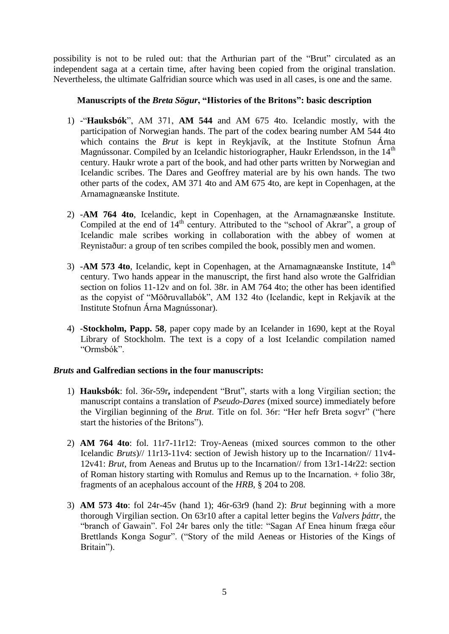possibility is not to be ruled out: that the Arthurian part of the "Brut" circulated as an independent saga at a certain time, after having been copied from the original translation. Nevertheless, the ultimate Galfridian source which was used in all cases, is one and the same.

# **Manuscripts of the** *Breta Sögur***, "Histories of the Britons": basic description**

- 1) -"**Hauksbók**", AM 371, **AM 544** and AM 675 4to. Icelandic mostly, with the participation of Norwegian hands. The part of the codex bearing number AM 544 4to which contains the *Brut* is kept in Reykjavík, at the Institute Stofnun Árna Magnússonar. Compiled by an Icelandic historiographer, Haukr Erlendsson, in the  $14<sup>th</sup>$ century. Haukr wrote a part of the book, and had other parts written by Norwegian and Icelandic scribes. The Dares and Geoffrey material are by his own hands. The two other parts of the codex, AM 371 4to and AM 675 4to, are kept in Copenhagen, at the Arnamagnæanske Institute.
- 2) -**AM 764 4to**, Icelandic, kept in Copenhagen, at the Arnamagnæanske Institute. Compiled at the end of  $14<sup>th</sup>$  century. Attributed to the "school of Akrar", a group of Icelandic male scribes working in collaboration with the abbey of women at Reynistaður: a group of ten scribes compiled the book, possibly men and women.
- 3) **-AM 573 4to**, Icelandic, kept in Copenhagen, at the Arnamagnæanske Institute, 14<sup>th</sup> century. Two hands appear in the manuscript, the first hand also wrote the Galfridian section on folios 11-12v and on fol. 38r. in AM 764 4to; the other has been identified as the copyist of "Möðruvallabók", AM 132 4to (Icelandic, kept in Rekjavík at the Institute Stofnun Árna Magnússonar).
- 4) -**Stockholm, Papp. 58**, paper copy made by an Icelander in 1690, kept at the Royal Library of Stockholm. The text is a copy of a lost Icelandic compilation named "Ormsbók".

# *Bruts* **and Galfredian sections in the four manuscripts:**

- 1) **Hauksbók**: fol. 36r-59r**,** independent "Brut", starts with a long Virgilian section; the manuscript contains a translation of *Pseudo-Dares* (mixed source) immediately before the Virgilian beginning of the *Brut*. Title on fol. 36r: "Her hefr Breta sogvr" ("here start the histories of the Britons").
- 2) **AM 764 4to**: fol. 11r7-11r12: Troy-Aeneas (mixed sources common to the other Icelandic *Bruts*)// 11r13-11v4: section of Jewish history up to the Incarnation// 11v4- 12v41: *Brut*, from Aeneas and Brutus up to the Incarnation// from 13r1-14r22: section of Roman history starting with Romulus and Remus up to the Incarnation. + folio 38r, fragments of an acephalous account of the *HRB,* § 204 to 208.
- 3) **AM 573 4to**: fol 24r-45v (hand 1); 46r-63r9 (hand 2): *Brut* beginning with a more thorough Virgilian section. On 63r10 after a capital letter begins the *Valvers þáttr*, the "branch of Gawain". Fol 24r bares only the title: "Sagan Af Enea hinum fræga eδur Brettlands Konga Sogur". ("Story of the mild Aeneas or Histories of the Kings of Britain").